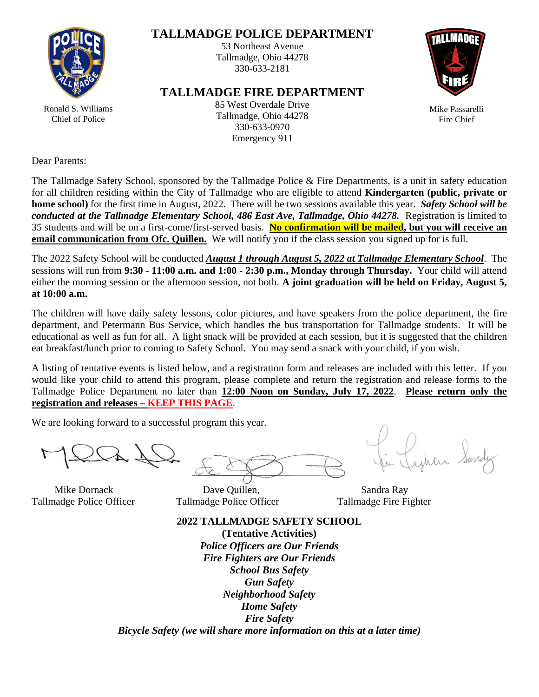

### **TALLMADGE POLICE DEPARTMENT**

53 Northeast Avenue Tallmadge, Ohio 44278 330-633-2181

#### **TALLMADGE FIRE DEPARTMENT**



Mike Passarelli Fire Chief

Ronald S. Williams Chief of Police

85 West Overdale Drive Tallmadge, Ohio 44278 330-633-0970 Emergency 911

Dear Parents:

The Tallmadge Safety School, sponsored by the Tallmadge Police & Fire Departments, is a unit in safety education for all children residing within the City of Tallmadge who are eligible to attend **Kindergarten (public, private or home school)** for the first time in August, 2022. There will be two sessions available this year. *Safety School will be conducted at the Tallmadge Elementary School, 486 East Ave, Tallmadge, Ohio 44278.* Registration is limited to 35 students and will be on a first-come/first-served basis. **No confirmation will be mailed, but you will receive an email communication from Ofc. Quillen.** We will notify you if the class session you signed up for is full.

The 2022 Safety School will be conducted *August 1 through August 5, 2022 at Tallmadge Elementary School*. The sessions will run from **9:30 - 11:00 a.m. and 1:00 - 2:30 p.m., Monday through Thursday.** Your child will attend either the morning session or the afternoon session, not both. **A joint graduation will be held on Friday, August 5, at 10:00 a.m.**

The children will have daily safety lessons, color pictures, and have speakers from the police department, the fire department, and Petermann Bus Service, which handles the bus transportation for Tallmadge students. It will be educational as well as fun for all. A light snack will be provided at each session, but it is suggested that the children eat breakfast/lunch prior to coming to Safety School. You may send a snack with your child, if you wish.

A listing of tentative events is listed below, and a registration form and releases are included with this letter. If you would like your child to attend this program, please complete and return the registration and release forms to the Tallmadge Police Department no later than **12:00 Noon on Sunday, July 17, 2022**. **Please return only the registration and releases – KEEP THIS PAGE**.

We are looking forward to a successful program this year.

Tallmadge Police Officer Tallmadge Police Officer Tallmadge Fire Fighter

Mike Dornack **Dave Quillen,** Sandra Ray

**2022 TALLMADGE SAFETY SCHOOL (Tentative Activities)** *Police Officers are Our Friends Fire Fighters are Our Friends School Bus Safety Gun Safety Neighborhood Safety Home Safety Fire Safety Bicycle Safety (we will share more information on this at a later time)*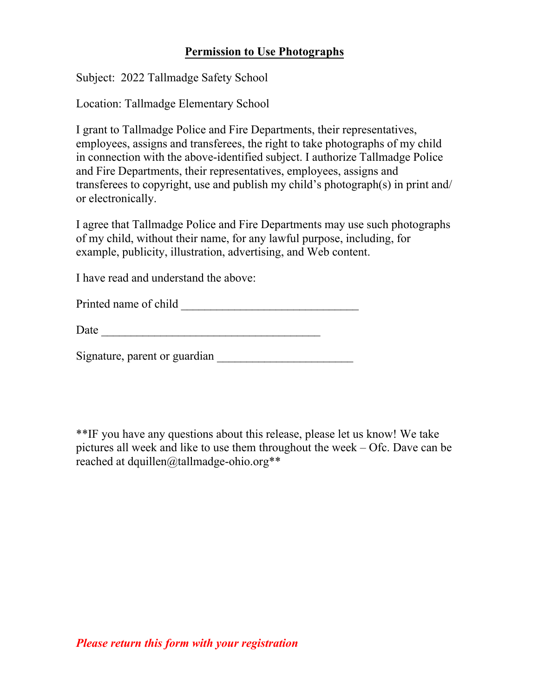## **Permission to Use Photographs**

Subject: 2022 Tallmadge Safety School

Location: Tallmadge Elementary School

I grant to Tallmadge Police and Fire Departments, their representatives, employees, assigns and transferees, the right to take photographs of my child in connection with the above-identified subject. I authorize Tallmadge Police and Fire Departments, their representatives, employees, assigns and transferees to copyright, use and publish my child's photograph(s) in print and/ or electronically.

I agree that Tallmadge Police and Fire Departments may use such photographs of my child, without their name, for any lawful purpose, including, for example, publicity, illustration, advertising, and Web content.

I have read and understand the above:

| Printed name of child |  |
|-----------------------|--|
|                       |  |

Signature, parent or guardian

\*\*IF you have any questions about this release, please let us know! We take pictures all week and like to use them throughout the week – Ofc. Dave can be reached at dquillen@tallmadge-ohio.org\*\*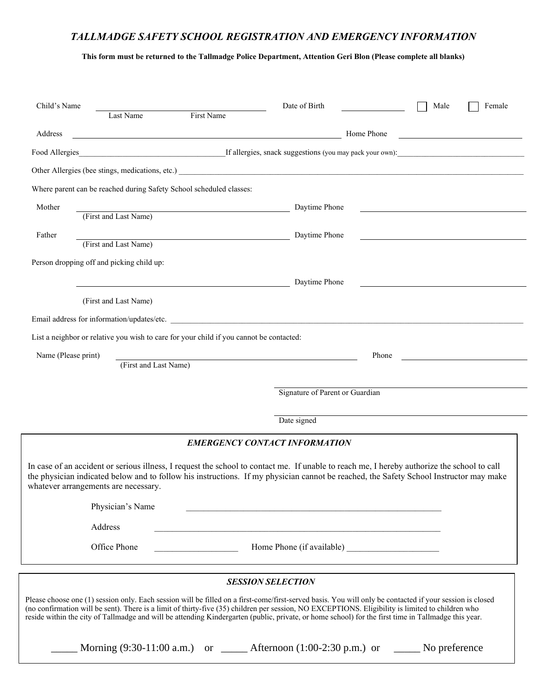### *TALLMADGE SAFETY SCHOOL REGISTRATION AND EMERGENCY INFORMATION*

**This form must be returned to the Tallmadge Police Department, Attention Geri Blon (Please complete all blanks)**

| Child's Name<br>First Name<br>Last Name                                                                                                                                                                                                                                                                                                                                                                                                                             | Date of Birth<br>Male<br>Female                                                                                                  |  |  |  |
|---------------------------------------------------------------------------------------------------------------------------------------------------------------------------------------------------------------------------------------------------------------------------------------------------------------------------------------------------------------------------------------------------------------------------------------------------------------------|----------------------------------------------------------------------------------------------------------------------------------|--|--|--|
| Address                                                                                                                                                                                                                                                                                                                                                                                                                                                             | Home Phone                                                                                                                       |  |  |  |
|                                                                                                                                                                                                                                                                                                                                                                                                                                                                     |                                                                                                                                  |  |  |  |
|                                                                                                                                                                                                                                                                                                                                                                                                                                                                     |                                                                                                                                  |  |  |  |
| Where parent can be reached during Safety School scheduled classes:                                                                                                                                                                                                                                                                                                                                                                                                 |                                                                                                                                  |  |  |  |
| Mother                                                                                                                                                                                                                                                                                                                                                                                                                                                              | Daytime Phone                                                                                                                    |  |  |  |
| (First and Last Name)                                                                                                                                                                                                                                                                                                                                                                                                                                               |                                                                                                                                  |  |  |  |
| Father<br>(First and Last Name)                                                                                                                                                                                                                                                                                                                                                                                                                                     | Daytime Phone                                                                                                                    |  |  |  |
| Person dropping off and picking child up:                                                                                                                                                                                                                                                                                                                                                                                                                           |                                                                                                                                  |  |  |  |
|                                                                                                                                                                                                                                                                                                                                                                                                                                                                     | Daytime Phone                                                                                                                    |  |  |  |
| (First and Last Name)                                                                                                                                                                                                                                                                                                                                                                                                                                               |                                                                                                                                  |  |  |  |
| Email address for information/updates/etc.                                                                                                                                                                                                                                                                                                                                                                                                                          |                                                                                                                                  |  |  |  |
| List a neighbor or relative you wish to care for your child if you cannot be contacted:                                                                                                                                                                                                                                                                                                                                                                             |                                                                                                                                  |  |  |  |
| Name (Please print)                                                                                                                                                                                                                                                                                                                                                                                                                                                 | Phone                                                                                                                            |  |  |  |
| (First and Last Name)                                                                                                                                                                                                                                                                                                                                                                                                                                               |                                                                                                                                  |  |  |  |
| Signature of Parent or Guardian                                                                                                                                                                                                                                                                                                                                                                                                                                     |                                                                                                                                  |  |  |  |
|                                                                                                                                                                                                                                                                                                                                                                                                                                                                     |                                                                                                                                  |  |  |  |
|                                                                                                                                                                                                                                                                                                                                                                                                                                                                     | Date signed                                                                                                                      |  |  |  |
| <b>EMERGENCY CONTACT INFORMATION</b>                                                                                                                                                                                                                                                                                                                                                                                                                                |                                                                                                                                  |  |  |  |
| In case of an accident or serious illness, I request the school to contact me. If unable to reach me, I hereby authorize the school to call<br>the physician indicated below and to follow his instructions. If my physician cannot be reached, the Safety School Instructor may make<br>whatever arrangements are necessary.                                                                                                                                       |                                                                                                                                  |  |  |  |
| Physician's Name                                                                                                                                                                                                                                                                                                                                                                                                                                                    |                                                                                                                                  |  |  |  |
| Address                                                                                                                                                                                                                                                                                                                                                                                                                                                             |                                                                                                                                  |  |  |  |
| Office Phone                                                                                                                                                                                                                                                                                                                                                                                                                                                        |                                                                                                                                  |  |  |  |
| <b>SESSION SELECTION</b>                                                                                                                                                                                                                                                                                                                                                                                                                                            |                                                                                                                                  |  |  |  |
| Please choose one (1) session only. Each session will be filled on a first-come/first-served basis. You will only be contacted if your session is closed<br>(no confirmation will be sent). There is a limit of thirty-five (35) children per session, NO EXCEPTIONS. Eligibility is limited to children who<br>reside within the city of Tallmadge and will be attending Kindergarten (public, private, or home school) for the first time in Tallmadge this year. |                                                                                                                                  |  |  |  |
|                                                                                                                                                                                                                                                                                                                                                                                                                                                                     | Morning $(9:30-11:00 \text{ a.m.})$ or $\_\_\_\_\_\$ Afternoon $(1:00-2:30 \text{ p.m.})$ or $\_\_\_\_\_\_\_\_\_\$ No preference |  |  |  |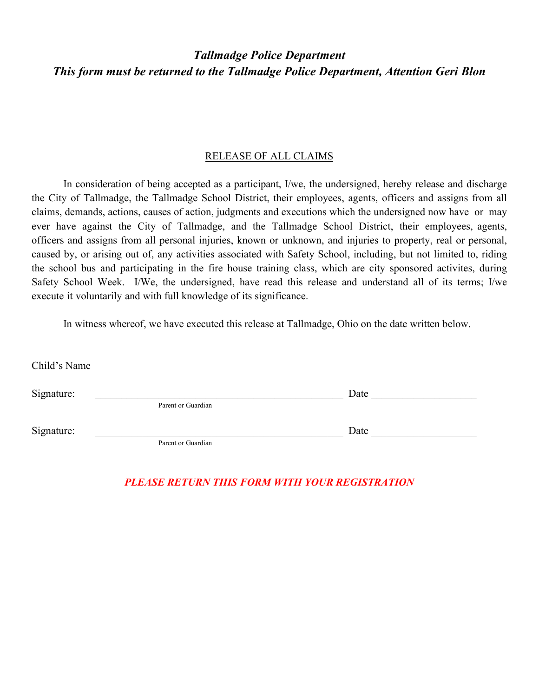# *Tallmadge Police Department This form must be returned to the Tallmadge Police Department, Attention Geri Blon*

#### RELEASE OF ALL CLAIMS

In consideration of being accepted as a participant, I/we, the undersigned, hereby release and discharge the City of Tallmadge, the Tallmadge School District, their employees, agents, officers and assigns from all claims, demands, actions, causes of action, judgments and executions which the undersigned now have or may ever have against the City of Tallmadge, and the Tallmadge School District, their employees, agents, officers and assigns from all personal injuries, known or unknown, and injuries to property, real or personal, caused by, or arising out of, any activities associated with Safety School, including, but not limited to, riding the school bus and participating in the fire house training class, which are city sponsored activites, during Safety School Week. I/We, the undersigned, have read this release and understand all of its terms; I/we execute it voluntarily and with full knowledge of its significance.

In witness whereof, we have executed this release at Tallmadge, Ohio on the date written below.

| Child's Name |                    |      |  |
|--------------|--------------------|------|--|
| Signature:   | Parent or Guardian | Date |  |
|              |                    |      |  |
| Signature:   | Parent or Guardian | Date |  |

*PLEASE RETURN THIS FORM WITH YOUR REGISTRATION*